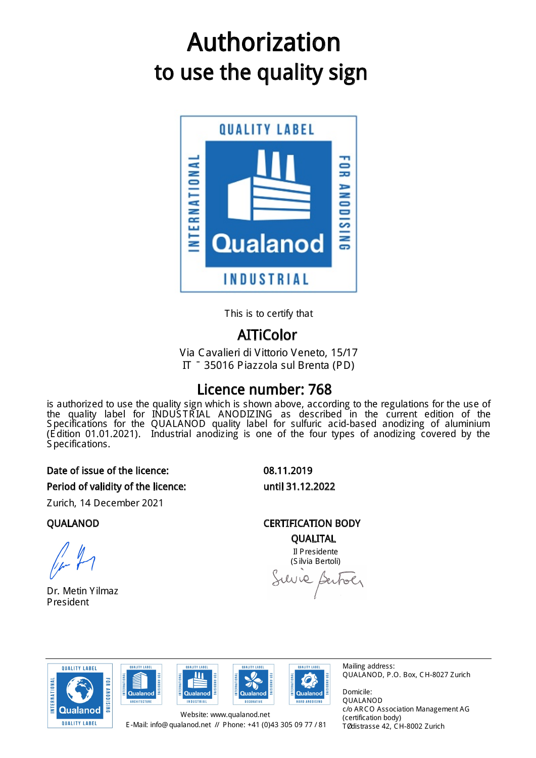# to use the quality sign Authorization



This is to certify that

# AITiColor

Via Cavalieri di Vittorio Veneto, 15/17 IT – 35016 Piazzola sul Brenta (PD)

# Licence number: 768

is authorized to use the quality sign which is shown above, according to the regulations for the use of the quality label for INDUS TR IAL ANODIZING as described in the current edition of the S pecifications for the QUALANOD quality label for sulfuric acid-based anodizing of aluminium (E dition 01.01.2021). Industrial anodizing is one of the four types of anodizing covered by the S pecifications.

#### Period of validity of the licence: until 31.12.2022 Date of issue of the licence: 08.11.2019

Zurich, 14 December 2021

Dr. Metin Yilmaz President

QUALANOD CERTIFICATION BODY QUALITAL

Il Presidente (S ilvia Bertoli) Suive Bertoer









Mailing address: QUALANOD, P.O. Box, CH-8027 Zurich

Domicile: QUALANOD c/o AR CO Association Management AG (certification body) Tödistrasse 42, CH-8002 Zurich

E -Mail: info@ qualanod.net // Phone: +41 (0)43 305 09 77 / 81 Website: www.qualanod.net

**OUALITY LARE** 

Ш

**NDUSTRIAL**